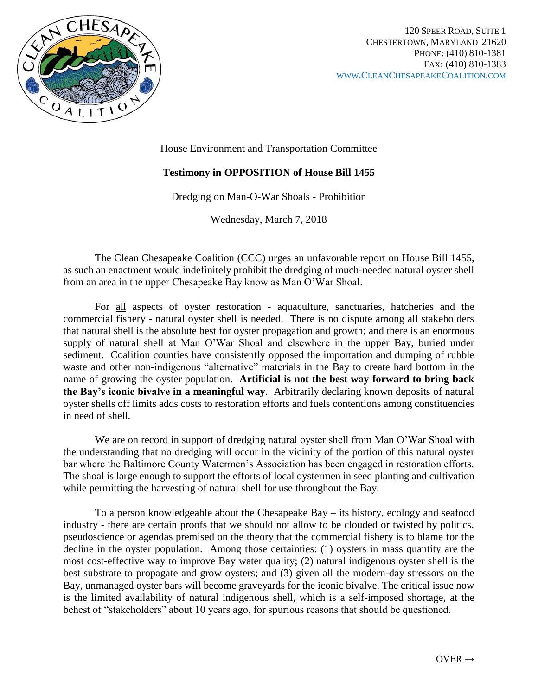

House Environment and Transportation Committee

## **Testimony in OPPOSITION of House Bill 1455**

Dredging on Man-O-War Shoals - Prohibition

Wednesday, March 7, 2018

The Clean Chesapeake Coalition (CCC) urges an unfavorable report on House Bill 1455, as such an enactment would indefinitely prohibit the dredging of much-needed natural oyster shell from an area in the upper Chesapeake Bay know as Man O'War Shoal.

For all aspects of oyster restoration - aquaculture, sanctuaries, hatcheries and the commercial fishery - natural oyster shell is needed. There is no dispute among all stakeholders that natural shell is the absolute best for oyster propagation and growth; and there is an enormous supply of natural shell at Man O'War Shoal and elsewhere in the upper Bay, buried under sediment. Coalition counties have consistently opposed the importation and dumping of rubble waste and other non-indigenous "alternative" materials in the Bay to create hard bottom in the name of growing the oyster population. **Artificial is not the best way forward to bring back the Bay's iconic bivalve in a meaningful way**. Arbitrarily declaring known deposits of natural oyster shells off limits adds costs to restoration efforts and fuels contentions among constituencies in need of shell.

We are on record in support of dredging natural oyster shell from Man O'War Shoal with the understanding that no dredging will occur in the vicinity of the portion of this natural oyster bar where the Baltimore County Watermen's Association has been engaged in restoration efforts. The shoal is large enough to support the efforts of local oystermen in seed planting and cultivation while permitting the harvesting of natural shell for use throughout the Bay.

To a person knowledgeable about the Chesapeake Bay – its history, ecology and seafood industry - there are certain proofs that we should not allow to be clouded or twisted by politics, pseudoscience or agendas premised on the theory that the commercial fishery is to blame for the decline in the oyster population. Among those certainties: (1) oysters in mass quantity are the most cost-effective way to improve Bay water quality; (2) natural indigenous oyster shell is the best substrate to propagate and grow oysters; and (3) given all the modern-day stressors on the Bay, unmanaged oyster bars will become graveyards for the iconic bivalve. The critical issue now is the limited availability of natural indigenous shell, which is a self-imposed shortage, at the behest of "stakeholders" about 10 years ago, for spurious reasons that should be questioned.